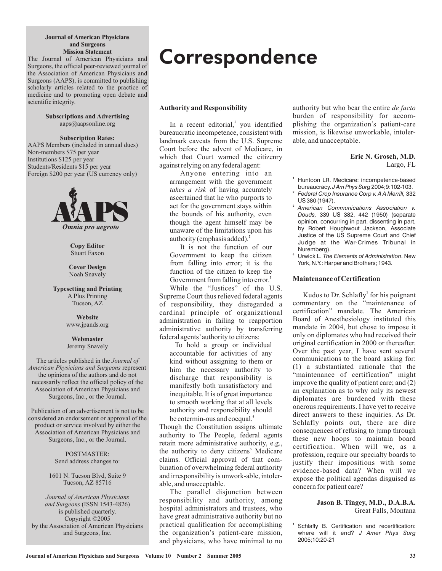#### **Journal of American Physicians and Surgeons Mission Statement**

The Journal of American Physicians and Surgeons, the official peer-reviewed journal of the Association of American Physicians and Surgeons (AAPS), is committed to publishing scholarly articles related to the practice of medicine and to promoting open debate and scientific integrity.

> **Subscriptions and Advertising** aaps@aapsonline.org

> > **Subscription Rates:**

AAPS Members (included in annual dues) Non-members \$75 per year Institutions \$125 per year Students/Residents \$15 per year Foreign \$200 per year (US currency only)



**Copy Editor** Stuart Faxon

**Cover Design** Noah Snavely

**Typesetting and Printing** A Plus Printing Tucson, AZ

> www.jpands.org **Website**

**Webmaster** Jeremy Snavely

Surgeons, Inc., or the Journal. The articles published in the *Journal of American Physicians and Surgeons* **represent** the opinions of the authors and do not necessarily reflect the official policy of the Association of American Physicians and

Surgeons, Inc., or the Journal. Publication of an advertisement is not to be considered an endorsement or approval of the product or service involved by either the Association of American Physicians and

> POSTMASTER: Send address changes to:

1601 N. Tucson Blvd, Suite 9 Tucson, AZ 85716

(ISSN 1543-4826) *and Surgeons* is published quarterly. Copyright ©2005 by the Association of American Physicians and Surgeons, Inc. *Journal of American Physicians*

# **Correspondence**

## **Authority and Responsibility**

In a recent editorial,<sup>1</sup> you identified bureaucratic incompetence, consistent with landmark caveats from the U.S. Supreme Court before the advent of Medicare, in which that Court warned the citizenry against relying on any federal agent:

Anyone entering into an arrangement with the government takes a risk of having accurately ascertained that he who purports to act for the government stays within the bounds of his authority, even though the agent himself may be unaware of the limitations upon his authority (emphasis added). **2**

It is not the function of our Government to keep the citizen from falling into error; it is the function of the citizen to keep the Government from falling into error. **3**

While the "Justices" of the U.S. Supreme Court thus relieved federal agents of responsibility, they disregarded a cardinal principle of organizational administration in failing to reapportion administrative authority by transferring federal agents'authority to citizens:

To hold a group or individual accountable for activities of any kind without assigning to them or him the necessary authority to discharge that responsibility is manifestly both unsatisfactory and inequitable. It is of great importance to smooth working that at all levels authority and responsibility should be cotermin-ous and coequal. **4**

Though the Constitution assigns ultimate authority to The People, federal agents retain more administrative authority, e.g., the authority to deny citizens' Medicare claims. Official approval of that combination of overwhelming federal authority and irresponsibility is unwork-able, intolerable, and unacceptable.

The parallel disjunction between responsibility and authority, among hospital administrators and trustees, who have great administrative authority but no practical qualification for accomplishing the organization's patient-care mission, and physicians, who have minimal to no

authority but who bear the entire *de facto* burden of responsibility for accomplishing the organization's patient-care mission, is likewise unworkable, intolerable, and unacceptable.

> Largo, FL **Eric N. Grosch, M.D.**

- **1** Huntoon LR. Medicare: incompetence-based bureaucracy. J Am Phys Surg 2004;9:102-103.
- **2** 332 *Federal Crop Insurance Corp v. A A Merrill,* US 380 (1947).
- **3** *American Communications Association v.* 339 US 382, 442 (1950) (separate *Douds,* opinion, concurring in part, dissenting in part, by Robert Houghwout Jackson, Associate Justice of the US Supreme Court and Chief Judge at the War-Crimes Tribunal in Nuremberg).
- **4** Urwick L. The Elements of Administration. New York, N.Y.: Harper and Brothers; 1943.

## **Maintenance of Certification**

Kudos to Dr. Schlafly<sup>1</sup> for his poignant commentary on the "maintenance of certification" mandate. The American Board of Anesthesiology instituted this mandate in 2004, but chose to impose it only on diplomates who had received their original certification in 2000 or thereafter. Over the past year, I have sent several communications to the board asking for: (1) a substantiated rationale that the "maintenance of certification" might improve the quality of patient care; and (2) an explanation as to why only its newest diplomates are burdened with these onerous requirements. I have yet to receive direct answers to these inquiries. As Dr. Schlafly points out, there are dire consequences of refusing to jump through these new hoops to maintain board certification. When will we, as a profession, require our specialty boards to justify their impositions with some evidence-based data? When will we expose the political agendas disguised as concern for patient care?

### Great Falls, Montana **Jason B. Tingey, M.D., D.A.B.A.**

Schlafly B. Certification and recertification: where will it end? *J Amer Phys Surg* 2005;10:20-21

**1**